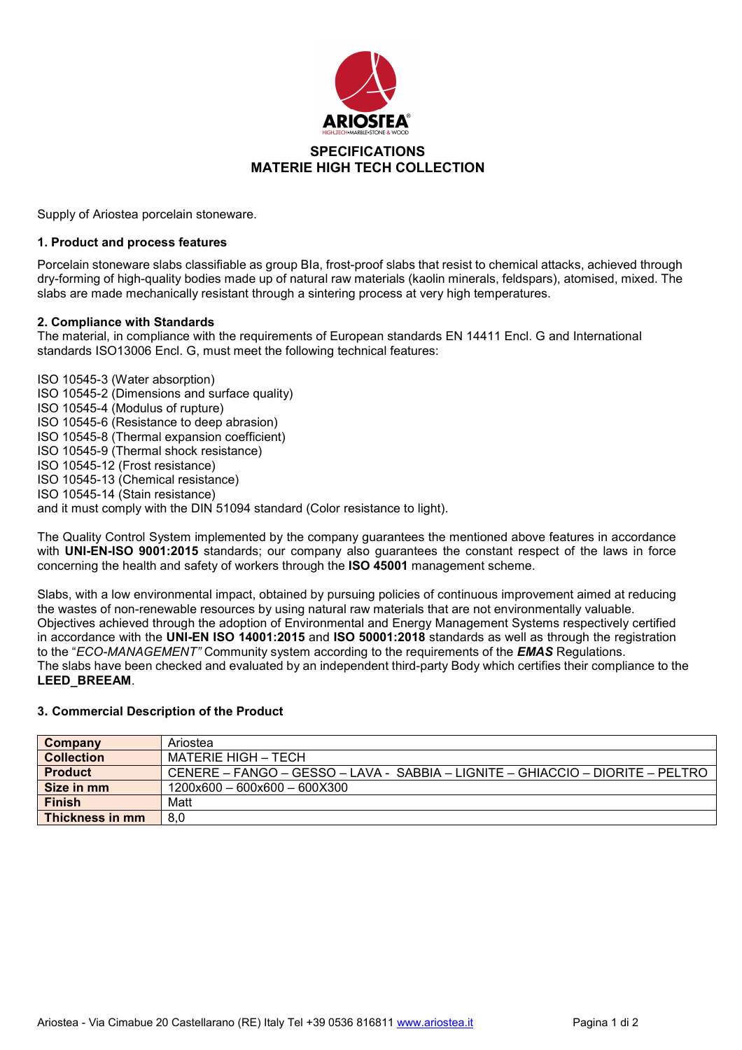

Supply of Ariostea porcelain stoneware.

## **1. Product and process features**

Porcelain stoneware slabs classifiable as group BIa, frost-proof slabs that resist to chemical attacks, achieved through dry-forming of high-quality bodies made up of natural raw materials (kaolin minerals, feldspars), atomised, mixed. The slabs are made mechanically resistant through a sintering process at very high temperatures.

## **2. Compliance with Standards**

The material, in compliance with the requirements of European standards EN 14411 Encl. G and International standards ISO13006 Encl. G, must meet the following technical features:

ISO 10545-3 (Water absorption) ISO 10545-2 (Dimensions and surface quality) ISO 10545-4 (Modulus of rupture) ISO 10545-6 (Resistance to deep abrasion) ISO 10545-8 (Thermal expansion coefficient) ISO 10545-9 (Thermal shock resistance) ISO 10545-12 (Frost resistance) ISO 10545-13 (Chemical resistance) ISO 10545-14 (Stain resistance) and it must comply with the DIN 51094 standard (Color resistance to light).

The Quality Control System implemented by the company guarantees the mentioned above features in accordance with **UNI-EN-ISO 9001:2015** standards; our company also guarantees the constant respect of the laws in force concerning the health and safety of workers through the **ISO 45001** management scheme.

Slabs, with a low environmental impact, obtained by pursuing policies of continuous improvement aimed at reducing the wastes of non-renewable resources by using natural raw materials that are not environmentally valuable. Objectives achieved through the adoption of Environmental and Energy Management Systems respectively certified in accordance with the **UNI-EN ISO 14001:2015** and **ISO 50001:2018** standards as well as through the registration to the "*ECO-MANAGEMENT"* Community system according to the requirements of the *EMAS* Regulations. The slabs have been checked and evaluated by an independent third-party Body which certifies their compliance to the **LEED\_BREEAM**.

#### **3. Commercial Description of the Product**

| Company           | Ariostea                                                                       |
|-------------------|--------------------------------------------------------------------------------|
| <b>Collection</b> | MATERIE HIGH – TECH                                                            |
| <b>Product</b>    | CENERE – FANGO – GESSO – LAVA - SABBIA – LIGNITE – GHIACCIO – DIORITE – PELTRO |
| Size in mm        | $1200\times600 - 600\times600 - 600\times300$                                  |
| <b>Finish</b>     | Matt                                                                           |
| Thickness in mm   | 8.0                                                                            |